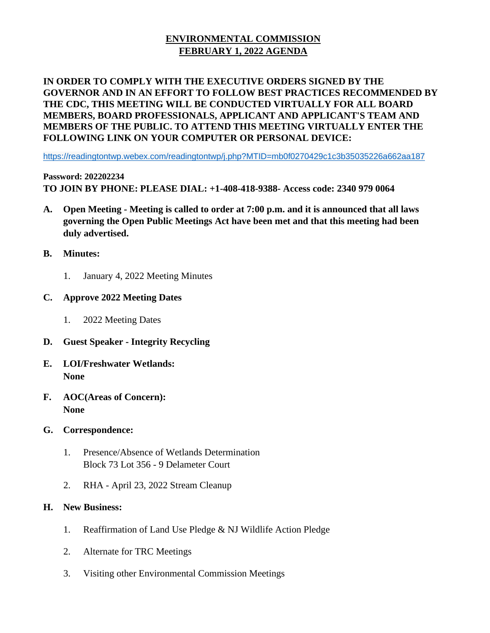## **ENVIRONMENTAL COMMISSION FEBRUARY 1, 2022 AGENDA**

## **IN ORDER TO COMPLY WITH THE EXECUTIVE ORDERS SIGNED BY THE GOVERNOR AND IN AN EFFORT TO FOLLOW BEST PRACTICES RECOMMENDED BY THE CDC, THIS MEETING WILL BE CONDUCTED VIRTUALLY FOR ALL BOARD MEMBERS, BOARD PROFESSIONALS, APPLICANT AND APPLICANT'S TEAM AND MEMBERS OF THE PUBLIC. TO ATTEND THIS MEETING VIRTUALLY ENTER THE FOLLOWING LINK ON YOUR COMPUTER OR PERSONAL DEVICE:**

<https://readingtontwp.webex.com/readingtontwp/j.php?MTID=mb0f0270429c1c3b35035226a662aa187>

**Password: 202202234 TO JOIN BY PHONE: PLEASE DIAL: +1-408-418-9388- Access code: 2340 979 0064**

- **A. Open Meeting - Meeting is called to order at 7:00 p.m. and it is announced that all laws governing the Open Public Meetings Act have been met and that this meeting had been duly advertised.**
- **B. Minutes:**
	- 1. January 4, 2022 Meeting Minutes
- **C. Approve 2022 Meeting Dates**
	- 1. 2022 Meeting Dates
- **D. Guest Speaker - Integrity Recycling**
- **E. LOI/Freshwater Wetlands: None**
- **F. AOC(Areas of Concern): None**
- **G. Correspondence:**
	- 1. Presence/Absence of Wetlands Determination Block 73 Lot 356 - 9 Delameter Court
	- 2. RHA April 23, 2022 Stream Cleanup
- **H. New Business:**
	- 1. Reaffirmation of Land Use Pledge & NJ Wildlife Action Pledge
	- 2. Alternate for TRC Meetings
	- 3. Visiting other Environmental Commission Meetings